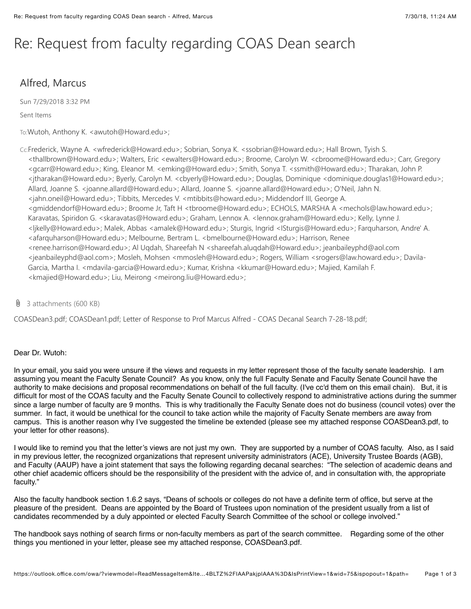# Re: Request from faculty regarding COAS Dean search

## Alfred, Marcus

Sun 7/29/2018 3:32 PM

#### Sent Items

To:Wutoh, Anthony K. <awutoh@Howard.edu>;

- Cc:Frederick, Wayne A. <wfrederick@Howard.edu>; Sobrian, Sonya K. <ssobrian@Howard.edu>; Hall Brown, Tyish S. <thallbrown@Howard.edu>; Walters, Eric <ewalters@Howard.edu>; Broome, Carolyn W. <cbroome@Howard.edu>; Carr, Gregory <gcarr@Howard.edu>; King, Eleanor M. <emking@Howard.edu>; Smith, Sonya T. <ssmith@Howard.edu>; Tharakan, John P. <jtharakan@Howard.edu>; Byerly, Carolyn M. <cbyerly@Howard.edu>; Douglas, Dominique <dominique.douglas1@Howard.edu>; Allard, Joanne S. <joanne.allard@Howard.edu>; Allard, Joanne S. <joanne.allard@Howard.edu>; O'Neil, Jahn N. <jahn.oneil@Howard.edu>; Tibbits, Mercedes V. <mtibbits@howard.edu>; Middendorf III, George A. <gmiddendorf@Howard.edu>; Broome Jr, Taft H <tbroome@Howard.edu>; ECHOLS, MARSHA A <mechols@law.howard.edu>; Karavatas, Spiridon G. <skaravatas@Howard.edu>; Graham, Lennox A. <lennox.graham@Howard.edu>; Kelly, Lynne J. <ljkelly@Howard.edu>; Malek, Abbas <amalek@Howard.edu>; Sturgis, Ingrid <ISturgis@Howard.edu>; Farquharson, Andre' A. <afarquharson@Howard.edu>; Melbourne, Bertram L. <br />bmelbourne@Howard.edu>; Harrison, Renee <renee.harrison@Howard.edu>; Al Uqdah, Shareefah N <shareefah.aluqdah@Howard.edu>; jeanbaileyphd@aol.com <jeanbaileyphd@aol.com>; Mosleh, Mohsen <mmosleh@Howard.edu>; Rogers, William <srogers@law.howard.edu>; DavilaZ Garcia, Martha I. <mdavila-garcia@Howard.edu>; Kumar, Krishna <kkumar@Howard.edu>; Majied, Kamilah F. <kmajied@Howard.edu>; Liu, Meirong <meirong.liu@Howard.edu>;
- $\theta$  3 attachments (600 KB)

COASDean3.pdf; COASDean1.pdf; Letter of Response to Prof Marcus Alfred - COAS Decanal Search 7-28-18.pdf;

#### Dear Dr. Wutoh:

In your email, you said you were unsure if the views and requests in my letter represent those of the faculty senate leadership. I am assuming you meant the Faculty Senate Council? As you know, only the full Faculty Senate and Faculty Senate Council have the authority to make decisions and proposal recommendations on behalf of the full faculty. (I've cc'd them on this email chain). But, it is difficult for most of the COAS faculty and the Faculty Senate Council to collectively respond to administrative actions during the summer since a large number of faculty are 9 months. This is why traditionally the Faculty Senate does not do business (council votes) over the summer. In fact, it would be unethical for the council to take action while the majority of Faculty Senate members are away from campus. This is another reason why I've suggested the timeline be extended (please see my attached response COASDean3.pdf, to your letter for other reasons).

I would like to remind you that the letter's views are not just my own. They are supported by a number of COAS faculty. Also, as I said in my previous letter, the recognized organizations that represent university administrators (ACE), University Trustee Boards (AGB), and Faculty (AAUP) have a joint statement that says the following regarding decanal searches: "The selection of academic deans and other chief academic officers should be the responsibility of the president with the advice of, and in consultation with, the appropriate faculty."

Also the faculty handbook section 1.6.2 says, "Deans of schools or colleges do not have a definite term of office, but serve at the pleasure of the president. Deans are appointed by the Board of Trustees upon nomination of the president usually from a list of candidates recommended by a duly appointed or elected Faculty Search Committee of the school or college involved."

The handbook says nothing of search firms or non-faculty members as part of the search committee. Regarding some of the other things you mentioned in your letter, please see my attached response, COASDean3.pdf.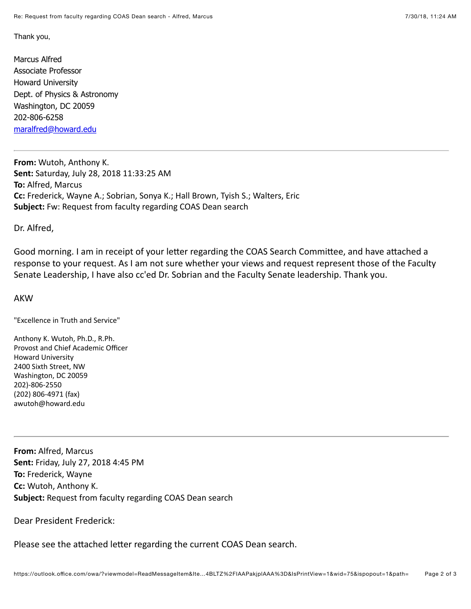Thank you,

Marcus Alfred **Associate Professor Howard University** Dept. of Physics & Astronomy Washington, DC 20059 202-806-6258 maralfred@howard.edu

From: Wutoh, Anthony K. Sent: Saturday, July 28, 2018 11:33:25 AM To: Alfred, Marcus Cc: Frederick, Wayne A.; Sobrian, Sonya K.; Hall Brown, Tyish S.; Walters, Eric Subject: Fw: Request from faculty regarding COAS Dean search

Dr. Alfred,

Good morning. I am in receipt of your letter regarding the COAS Search Committee, and have attached a response to your request. As I am not sure whether your views and request represent those of the Faculty Senate Leadership, I have also cc'ed Dr. Sobrian and the Faculty Senate leadership. Thank you.

#### **AKW**

"Excellence in Truth and Service"

Anthony K. Wutoh, Ph.D., R.Ph. Provost and Chief Academic Officer **Howard University** 2400 Sixth Street, NW Washington, DC 20059 202)-806-2550 (202) 806-4971 (fax) awutoh@howard.edu

From: Alfred, Marcus Sent: Friday, July 27, 2018 4:45 PM To: Frederick, Wayne Cc: Wutoh, Anthony K. **Subject:** Request from faculty regarding COAS Dean search

### **Dear President Frederick:**

Please see the attached letter regarding the current COAS Dean search.